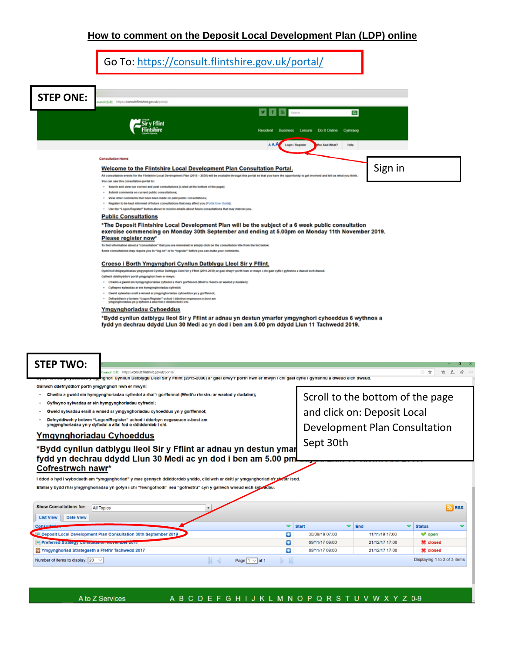## **How to comment on the Deposit Local Development Plan (LDP) online**

| Go To: https://consult.flintshire.gov.uk/portal/ |  |
|--------------------------------------------------|--|
|                                                  |  |

| <b>STEP ONE:</b> | uncil (GB) https://consult.flintshire.gov.uk/portal/                                                                                                                                                                                           |
|------------------|------------------------------------------------------------------------------------------------------------------------------------------------------------------------------------------------------------------------------------------------|
|                  | $\mathbf{v}$ f $\mathbf{a}$ seed                                                                                                                                                                                                               |
|                  | $\alpha$                                                                                                                                                                                                                                       |
|                  |                                                                                                                                                                                                                                                |
|                  | Resident Business Leisure Dollt Online Cymraeg                                                                                                                                                                                                 |
|                  | AAA<br>Login / Register<br>ho Said What?<br>Help                                                                                                                                                                                               |
|                  |                                                                                                                                                                                                                                                |
|                  | <b>Consultation Home</b>                                                                                                                                                                                                                       |
|                  | Sign in<br>Welcome to the Flintshire Local Development Plan Consultation Portal.                                                                                                                                                               |
|                  | All consultation events for the Flintshire Local Development Plan (2015 - 2030) will be available through this portal so that you have the opportunity to get involved and tell us what you think.<br>You can use this consultation portal to: |
|                  | - Search and view our current and past consultations (Listed at the bottom of the page);                                                                                                                                                       |
|                  | · Submit comments on current public consultations;                                                                                                                                                                                             |
|                  | . View other comments that have been made on past public consultations;<br>- Register to be kept informed of future consultations that may affect you (Portal User Guide);                                                                     |
|                  | - Use the "Logon/Register" button above to receive emails about future consultations that may interest you.                                                                                                                                    |
|                  | <b>Public Consultations</b>                                                                                                                                                                                                                    |
|                  | *The Deposit Flintshire Local Development Plan will be the subject of a 6 week public consultation                                                                                                                                             |
|                  | exercise commencing on Monday 30th September and ending at 5.00pm on Monday 11th November 2019.                                                                                                                                                |
|                  | Please register now*                                                                                                                                                                                                                           |
|                  | To find information about a "consultation" that you are interested in simply click on the consultation title from the list below.                                                                                                              |
|                  | Some consultations may require you to "log on" or to "register" before you can make your comments.                                                                                                                                             |
|                  | Croeso i Borth Ymgynghori Cynllun Datblygu Lleol Sir y Fflint.                                                                                                                                                                                 |
|                  | Bydd holl ddigwyddiadau ymgynghori Cynllun Datblygu Lleol Sir y Fflint (2015-2030) ar gael drwy'r porth hwn er mwyn i chi gael cyfle i gyfrannu a dweud eich dweud.                                                                            |
|                  | Gallwch ddefnyddio'r porth ymgynghori frwn er mwyn:                                                                                                                                                                                            |
|                  | - Chwilio a gweld ein hymgynghoriadau cyfredol a rhai'r gorffennol (Wedi'u rhestru ar waelod y dudalen);<br>· Cyflwyno sylwadau ar ein hymgynghoriadau cyfredol;                                                                               |
|                  | - Gweld sylwadau eraill a wnaed ar ymgynghoriadau cyhoeddus yn y gorffennol;                                                                                                                                                                   |
|                  | - Defnyddiwch y botwm "Logon/Register" uchod i dderbyn negeseuon e-bost am<br>ymgynghoriadau yn y dyfodol a allai fod o ddiddordeb i chi.                                                                                                      |
|                  | Ymgynghoriadau Cyhoeddus                                                                                                                                                                                                                       |
|                  | *Bydd cynllun datblygu lleol Sir y Fflint ar adnau yn destun ymarfer ymgynghori cyhoeddus 6 wythnos a                                                                                                                                          |
|                  | fydd yn dechrau ddydd Llun 30 Medi ac yn dod i ben am 5.00 pm ddydd Llun 11 Tachwedd 2019.                                                                                                                                                     |
|                  |                                                                                                                                                                                                                                                |
|                  |                                                                                                                                                                                                                                                |
|                  |                                                                                                                                                                                                                                                |
|                  |                                                                                                                                                                                                                                                |
| <b>STEP TWO:</b> |                                                                                                                                                                                                                                                |
|                  | https://consult.fiintshire.gov.uk/port                                                                                                                                                                                                         |

,<br>Inghori Cynilun Datblygu Lleol Sir y Fflint (2015-2030) ar gael drwy'r porth hwn er mwyn i chi gael cyfle i gyfrannu a dweud eich dweud.

Gallwch ddefnyddio'r porth ymgynghori hwn er mwyn:

- Chwilio a gweld ein hymgynghoriadau cyfredol a rhai'r gorffennol (Wedi'u rhestru ar waelod y dudalen);
- · Cyflwyno sylwadau ar ein hymgynghoriadau cyfredol;
- · Gweld sylwadau eraill a wnaed ar ymgynghoriadau cyhoeddus yn y gorffennol;
- $\ddot{\phantom{0}}$ Defnyddiwch y botwm "Logon/Register" uchod i dderbyn negeseuon e-bost am<br>ymgynghoriadau yn y dyfodol a allai fod o ddiddordeb i chi.

### Ymgynghoriadau Cyhoeddus

## \*Bydd cynllun datblygu lleol Sir y Fflint ar adnau yn destun ymar fydd yn dechrau ddydd Llun 30 Medi ac yn dod i ben am 5.00 pm Cofrestrwch nawr\*

I ddod o hyd i wybodaeth am "ymgynghoriad" y mae gennych ddiddordeb ynddo, cliciwch ar deitl yr ymgynghoriad o'r plestr isod. Efallai y bydd rhai ymgynghoriadau yn gofyn i chi "fewngofnodi" neu "gofrestru" cyn y gallwch wneud eich sylwadau.

Scroll to the bottom of the page and click on: Deposit Local Development Plan Consultation Sept 30th

| <b>Show Consultations for:</b><br><b>All Topics</b>             |                       |                     |                |                              | a RSS |
|-----------------------------------------------------------------|-----------------------|---------------------|----------------|------------------------------|-------|
| Date View<br><b>List View</b>                                   |                       |                     |                |                              |       |
| Consultation                                                    | $\triangledown$ Start | $\triangledown$ End |                | $\triangledown$ Status       |       |
| Deposit Local Development Plan Consultation 30th September 2019 | 30/09/19 07:00        |                     | 11/11/19 17:00 | $\blacktriangleright$ open   |       |
| Preferred Strategy Consumement Avenuel 2017                     | 09/11/17 09:00        |                     | 21/12/17 17:00 | <b>第 closed</b>              |       |
| Ymgynghoriad Strategaeth a Ffefrir Tachwedd 2017                | 09/11/17 09:00        |                     | 21/12/17 17:00 | <b>M</b> closed              |       |
| Number of Items to display: $20 \sqrt{ }$<br>Page $1 \vee$ of 1 |                       |                     |                | Displaying 1 to 3 of 3 items |       |

#### A B C D E F G H I J K L M N O P Q R S T U V W X Y Z 0-9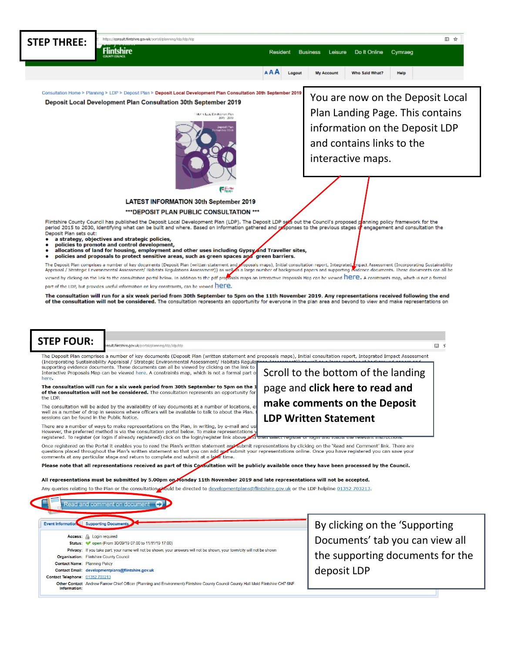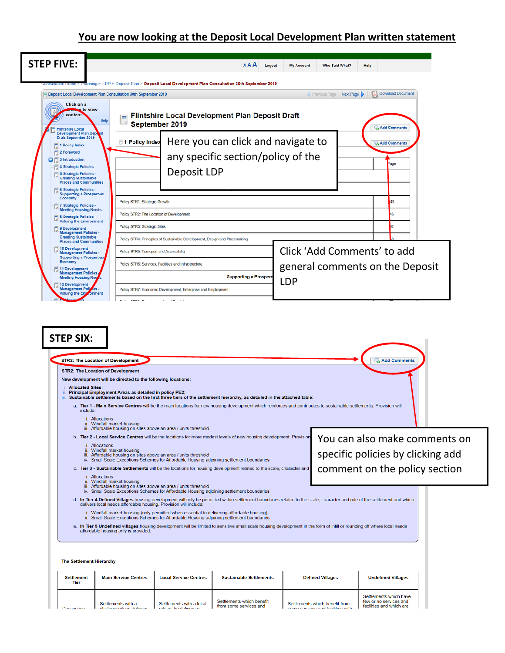# **You are now looking at the Deposit Local Development Plan written statement**

| <b>STEP FIVE:</b>                                                                                                     | AAA<br>Logout<br><b>My Account</b><br><b>Who Said What?</b><br>Help                                                                                                                                                            |
|-----------------------------------------------------------------------------------------------------------------------|--------------------------------------------------------------------------------------------------------------------------------------------------------------------------------------------------------------------------------|
|                                                                                                                       | anning > LDP > Deposit Plan > Deposit Local Development Plan Consultation 30th September 2019<br><b>Download Document</b><br>١X.<br>Previous Page Next Page<br>Deposit Local Development Plan Consultation 30th September 2019 |
| Click on a<br><b>Man</b> to view<br>content<br><b>Flintshire Local</b>                                                | Flintshire Local Development Plan Deposit Draft<br>Help<br>September 2019<br>Add Comments                                                                                                                                      |
| <b>Development Plan Dept</b><br><b>Draft September 2019</b><br>1 Policy Index<br>2 Foreword<br>81<br>3 Introduction   | Here you can click and navigate to<br>1 Policy Index<br>Add Comments<br>any specific section/policy of the                                                                                                                     |
| <b>4 Strategic Policies</b><br>5 Strategic Policies -<br><b>Creating Sustainable</b><br><b>Places and Communities</b> | age<br>Deposit LDP                                                                                                                                                                                                             |
| 6 Strategic Policies -<br><b>Supporting a Prosperous</b><br>Economy<br>7 Strategic Policies -                         | Policy STR1: Strategic Growth<br>43                                                                                                                                                                                            |
| <b>Meeting Housing Needs</b><br>8 Strategic Policies -<br><b>Valuing the Environment</b><br>9 Development             | Policy STR2: The Location of Development<br>16<br>Policy STR3: Strategic Sites                                                                                                                                                 |
| <b>Management Policies -</b><br><b>Creating Sustainable</b><br><b>Places and Communities</b>                          | Policy STR4: Principles of Sustainable Development, Design and Placemaking                                                                                                                                                     |
| 10 Development<br><b>Management Policies -</b><br><b>Supporting a Prosperous</b>                                      | Click 'Add Comments' to add<br>Policy STR5: Transport and Accessibility                                                                                                                                                        |
| Economy<br>11 Development<br><b>Management Policies</b>                                                               | Policy STR6: Services, Facilities and Infrastructure<br>general comments on the Deposit                                                                                                                                        |
| <b>Meeting Housing Nee</b><br><b>12 Development</b>                                                                   | <b>Supporting a Prospero</b><br><b>LDP</b>                                                                                                                                                                                     |
| Management Polices -<br>Valuing the Environment                                                                       | Policy STR7: Economic Development, Enterprise and Employment<br>Delian CTDO: Caroleconaut Land Dendelian                                                                                                                       |

New development will be directed to the following locations: **Allocated Sites;** ⊥. Allocated Sites;<br>ii. Principal Employment Areas as detailed in policy PE2;<br>iii. Sustainable settlements based on the first three tiers of the settlement hierarchy, as detailed in the attached table: a. Tier 1 - Main Service Centres will be the main locations for new housing development which reinforces and contributes to sustainable settlements. Provision will include i. Allocations ii. Windfall market housing<br>iii. Affordable housing on sites above an area / units threshold b. Tier 2 - Local Service Centres will be the locations for more modest levels of new housing development. Provision You can also make comments on *i* Allocations r. Autocatoris<br>iii. Affordable housing on sites above an area / units threshold<br>iv. Small Scale Exceptions Schemes for Affordable Housing adjoining settlement boundaries specific policies by clicking add comment on the policy section c. Tier 3 - Sustainable Settlements will be the locations for housing development related to the scale, character and Allocations<br>Windfall market housing ii. Mifordable housing on sites above an area / units threshold<br>iii. Affordable housing on sites above an area / units threshold<br>iv. Small Scale Exceptions Schemes for Affordable Housing adjoining settlement boundaries d. In Tier 4 Defined Villages housing development will only be permitted within settlement boundaries related to the scale, character and role of the settlement and which delivers local needs affordable housing. Provision i. Windfall market housing (only permitted when essential to delivering affordable housing)<br>ii. Small Scale Exceptions Schemes for Affordable Housing adjoining settlement boundaries e. In Tier 5 Undefined villages housing development will be limited to sensitive small scale housing development in the form of infill or rounding off where local needs affordable housing only is provided. The Settlement Hierarchy **Main Service Centres Local Service Centres Sustainable Settlements Defined Villages Undefined Villages Settlement Tier** 

Settlements which benefit<br>from some services and

Settlements with a local

Settlements with a

Settlements which have

few or no services and<br>facilities and which are

Settlements which benefit from